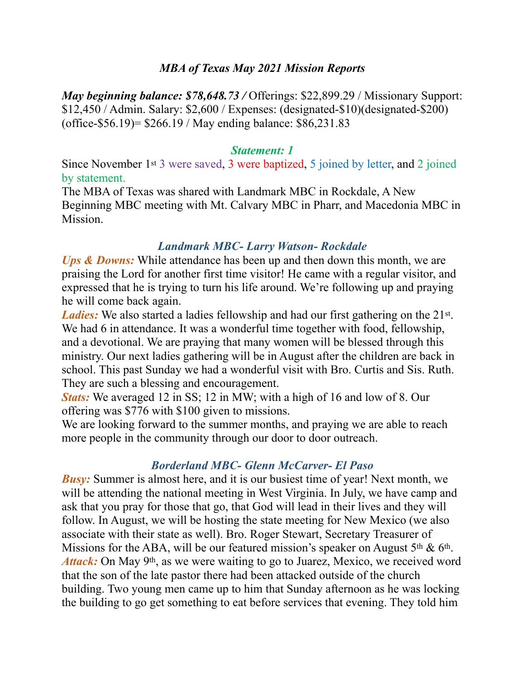### *MBA of Texas May 2021 Mission Reports*

*May beginning balance: \$78,648.73 / Offerings: \$22,899.29 / Missionary Support:* \$12,450 / Admin. Salary: \$2,600 / Expenses: (designated-\$10)(designated-\$200) (office-\$56.19)= \$266.19 / May ending balance: \$86,231.83

#### *Statement: 1*

Since November 1st 3 were saved, 3 were baptized, 5 joined by letter, and 2 joined by statement.

The MBA of Texas was shared with Landmark MBC in Rockdale, A New Beginning MBC meeting with Mt. Calvary MBC in Pharr, and Macedonia MBC in Mission.

### *Landmark MBC- Larry Watson- Rockdale*

*Ups & Downs:* While attendance has been up and then down this month, we are praising the Lord for another first time visitor! He came with a regular visitor, and expressed that he is trying to turn his life around. We're following up and praying he will come back again.

*Ladies*: We also started a ladies fellowship and had our first gathering on the 21<sup>st</sup>. We had 6 in attendance. It was a wonderful time together with food, fellowship, and a devotional. We are praying that many women will be blessed through this ministry. Our next ladies gathering will be in August after the children are back in school. This past Sunday we had a wonderful visit with Bro. Curtis and Sis. Ruth. They are such a blessing and encouragement.

*Stats:* We averaged 12 in SS; 12 in MW; with a high of 16 and low of 8. Our offering was \$776 with \$100 given to missions.

We are looking forward to the summer months, and praying we are able to reach more people in the community through our door to door outreach.

## *Borderland MBC- Glenn McCarver- El Paso*

*Busy:* Summer is almost here, and it is our busiest time of year! Next month, we will be attending the national meeting in West Virginia. In July, we have camp and ask that you pray for those that go, that God will lead in their lives and they will follow. In August, we will be hosting the state meeting for New Mexico (we also associate with their state as well). Bro. Roger Stewart, Secretary Treasurer of Missions for the ABA, will be our featured mission's speaker on August  $5<sup>th</sup>$  &  $6<sup>th</sup>$ . Attack: On May 9<sup>th</sup>, as we were waiting to go to Juarez, Mexico, we received word that the son of the late pastor there had been attacked outside of the church building. Two young men came up to him that Sunday afternoon as he was locking the building to go get something to eat before services that evening. They told him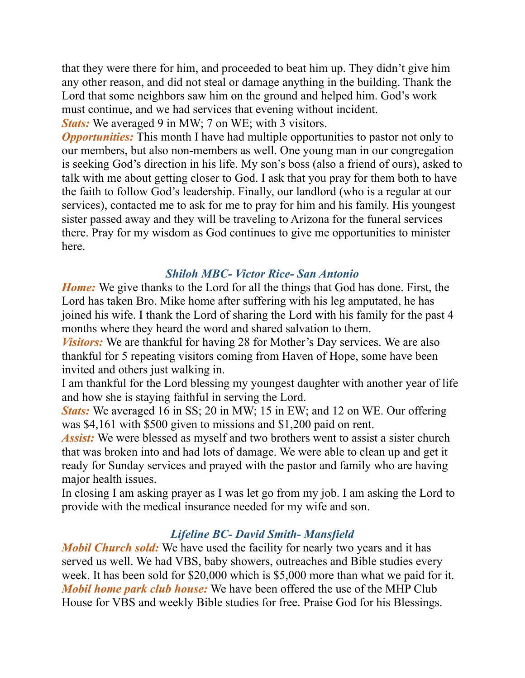that they were there for him, and proceeded to beat him up. They didn't give him any other reason, and did not steal or damage anything in the building. Thank the Lord that some neighbors saw him on the ground and helped him. God's work must continue, and we had services that evening without incident. *Stats:* We averaged 9 in MW; 7 on WE; with 3 visitors.

*Opportunities:* This month I have had multiple opportunities to pastor not only to our members, but also non-members as well. One young man in our congregation is seeking God's direction in his life. My son's boss (also a friend of ours), asked to talk with me about getting closer to God. I ask that you pray for them both to have the faith to follow God's leadership. Finally, our landlord (who is a regular at our services), contacted me to ask for me to pray for him and his family. His youngest sister passed away and they will be traveling to Arizona for the funeral services there. Pray for my wisdom as God continues to give me opportunities to minister here.

## *Shiloh MBC- Victor Rice- San Antonio*

*Home:* We give thanks to the Lord for all the things that God has done. First, the Lord has taken Bro. Mike home after suffering with his leg amputated, he has joined his wife. I thank the Lord of sharing the Lord with his family for the past 4 months where they heard the word and shared salvation to them.

*Visitors:* We are thankful for having 28 for Mother's Day services. We are also thankful for 5 repeating visitors coming from Haven of Hope, some have been invited and others just walking in.

I am thankful for the Lord blessing my youngest daughter with another year of life and how she is staying faithful in serving the Lord.

*Stats:* We averaged 16 in SS; 20 in MW; 15 in EW; and 12 on WE. Our offering was \$4,161 with \$500 given to missions and \$1,200 paid on rent.

*Assist:* We were blessed as myself and two brothers went to assist a sister church that was broken into and had lots of damage. We were able to clean up and get it ready for Sunday services and prayed with the pastor and family who are having major health issues.

In closing I am asking prayer as I was let go from my job. I am asking the Lord to provide with the medical insurance needed for my wife and son.

# *Lifeline BC- David Smith- Mansfield*

*Mobil Church sold:* We have used the facility for nearly two years and it has served us well. We had VBS, baby showers, outreaches and Bible studies every week. It has been sold for \$20,000 which is \$5,000 more than what we paid for it. *Mobil home park club house:* We have been offered the use of the MHP Club House for VBS and weekly Bible studies for free. Praise God for his Blessings.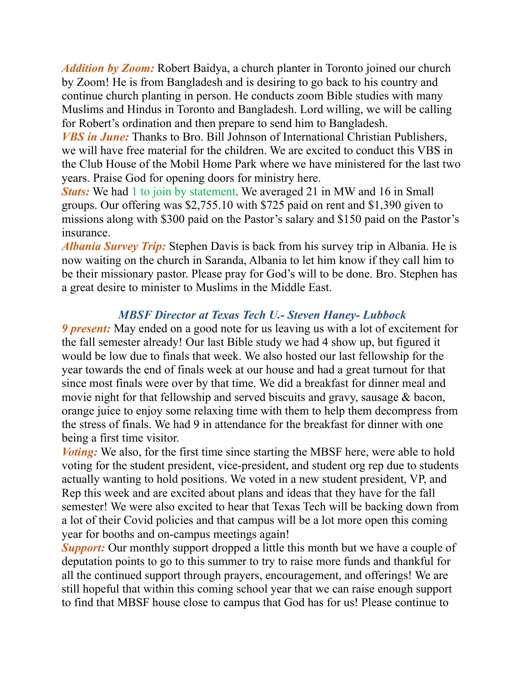*Addition by Zoom:* Robert Baidya, a church planter in Toronto joined our church by Zoom! He is from Bangladesh and is desiring to go back to his country and continue church planting in person. He conducts zoom Bible studies with many Muslims and Hindus in Toronto and Bangladesh. Lord willing, we will be calling for Robert's ordination and then prepare to send him to Bangladesh.

*VBS in June:* Thanks to Bro. Bill Johnson of International Christian Publishers, we will have free material for the children. We are excited to conduct this VBS in the Club House of the Mobil Home Park where we have ministered for the last two years. Praise God for opening doors for ministry here.

*Stats:* We had 1 to join by statement. We averaged 21 in MW and 16 in Small groups. Our offering was \$2,755.10 with \$725 paid on rent and \$1,390 given to missions along with \$300 paid on the Pastor's salary and \$150 paid on the Pastor's insurance.

*Albania Survey Trip:* Stephen Davis is back from his survey trip in Albania. He is now waiting on the church in Saranda, Albania to let him know if they call him to be their missionary pastor. Please pray for God's will to be done. Bro. Stephen has a great desire to minister to Muslims in the Middle East.

## *MBSF Director at Texas Tech U.- Steven Haney- Lubbock*

*9 present:* May ended on a good note for us leaving us with a lot of excitement for the fall semester already! Our last Bible study we had 4 show up, but figured it would be low due to finals that week. We also hosted our last fellowship for the year towards the end of finals week at our house and had a great turnout for that since most finals were over by that time. We did a breakfast for dinner meal and movie night for that fellowship and served biscuits and gravy, sausage & bacon, orange juice to enjoy some relaxing time with them to help them decompress from the stress of finals. We had 9 in attendance for the breakfast for dinner with one being a first time visitor.

*Voting*: We also, for the first time since starting the MBSF here, were able to hold voting for the student president, vice-president, and student org rep due to students actually wanting to hold positions. We voted in a new student president, VP, and Rep this week and are excited about plans and ideas that they have for the fall semester! We were also excited to hear that Texas Tech will be backing down from a lot of their Covid policies and that campus will be a lot more open this coming year for booths and on-campus meetings again!

**Support:** Our monthly support dropped a little this month but we have a couple of deputation points to go to this summer to try to raise more funds and thankful for all the continued support through prayers, encouragement, and offerings! We are still hopeful that within this coming school year that we can raise enough support to find that MBSF house close to campus that God has for us! Please continue to